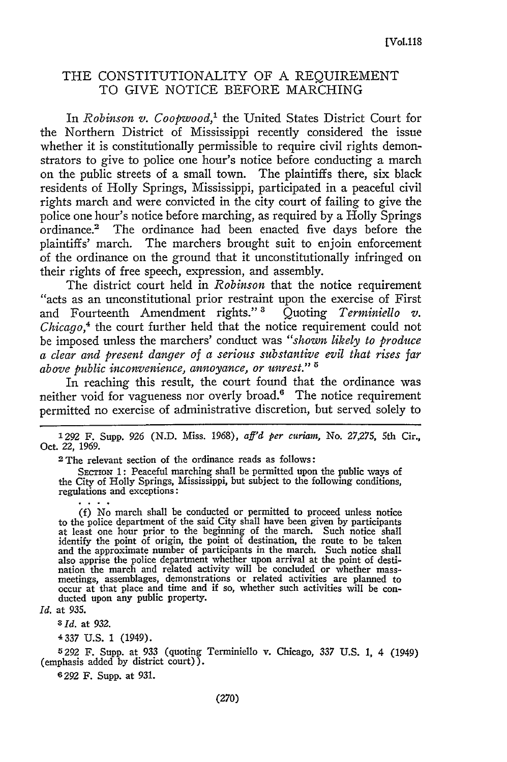## THE CONSTITUTIONALITY OF A REQUIREMENT TO GIVE NOTICE BEFORE MARCHING

In *Robinson v. Coopwood,'* the United States District Court for the Northern District of Mississippi recently considered the issue whether it is constitutionally permissible to require civil rights demonstrators to give to police one hour's notice before conducting a march on the public streets of a small town. The plaintiffs there, six black residents of Holly Springs, Mississippi, participated in a peaceful civil rights march and were convicted in the city court of failing to give the police one hour's notice before marching, as required by a Holly Springs ordinance.2 The ordinance had been enacted five days before the plaintiffs' march. The marchers brought suit to enjoin enforcement of the ordinance on the ground that it unconstitutionally infringed on their rights of free speech, expression, and assembly.

The district court held in *Robinson* that the notice requirement "acts as an unconstitutional prior restraint upon the exercise of First and Fourteenth Amendment rights."<sup>3</sup> Quoting *Terminiello v*. *Chicago,4* the court further held that the notice requirement could not be imposed unless the marchers' conduct was *"shown likely to produce a clear and present danger of a serious substantive evil that rises far above public inconvenience, annoyance, or unrest." '*

In reaching this result, the court found that the ordinance was neither void for vagueness nor overly broad.<sup>6</sup> The notice requirement permitted no exercise of administrative discretion, but served solely to

1292 F. Supp. 926 (N.D. Miss. 1968), *aff'd per curiam,* No. 27,275, 5th Cir., Oct. 22, 1969.

2The relevant section of the ordinance reads as follows:

SECTION 1: Peaceful marching shall be permitted upon the public ways of the City of Holly Springs, Mississippi, but subject to the following conditions, regulations and exceptions:

(f) No march shall be conducted or permitted to proceed unless notice to the police department of the said City shall have been given by participants at least one hour prior to the beginning of the march. Such notice shall identify the point of origin, the point of destination, the route to be taken and the approximate number of participants in the march. Such notice shall also apprise the police department whether upon arrival at the point of destination the march and related activity will be concluded or whether mass-<br>meetings, assemblages, demonstrations or related activities are planned occur at that place and time and if so, whether such activities will be conducted upon any public property.

*Id.* at 935.

**3Id.** at 932.

4337 U.S. 1 (1949).

5292 F. Supp. at 933 (quoting Terminiello v. Chicago, *337* U.S. 1, 4 (1949) (emphasis added by district court)).

6292 F. Supp. at 931.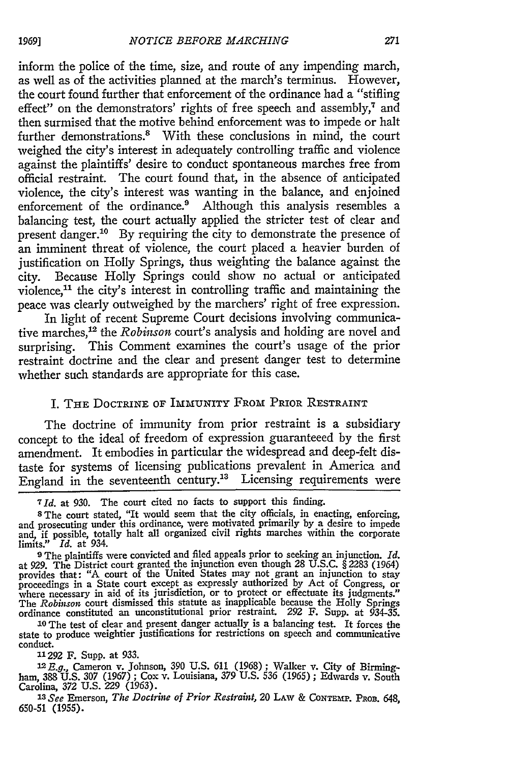inform the police of the time, size, and route of any impending march, as well as of the activities planned at the march's terminus. However, the court found further that enforcement of the ordinance had a "stifling effect" on the demonstrators' rights of free speech and assembly,<sup>7</sup> and then surmised that the motive behind enforcement was to impede or halt further demonstrations.<sup>8</sup> With these conclusions in mind, the court weighed the city's interest in adequately controlling traffic and violence against the plaintiffs' desire to conduct spontaneous marches free from official restraint. The court found that, in the absence of anticipated violence, the city's interest was wanting in the balance, and enjoined enforcement of the ordinance.<sup>9</sup> Although this analysis resembles a balancing test, the court actually applied the stricter test of clear and present danger.<sup>10</sup> By requiring the city to demonstrate the presence of an imminent threat of violence, the court placed a heavier burden of justification on Holly Springs, thus weighting the balance against the city. Because Holly Springs could show no actual or anticipated violence,<sup>11</sup> the city's interest in controlling traffic and maintaining the peace was clearly outweighed by the marchers' right of free expression.

In light of recent Supreme Court decisions involving communicative marches,<sup>12</sup> the *Robinson* court's analysis and holding are novel and surprising. This Comment examines the court's usage of the prior restraint doctrine and the clear and present danger test to determine whether such standards are appropriate for this case.

## I. THE DOCTRINE OF IMMUNITY FROM PRIOR RESTRAINT

The doctrine of immunity from prior restraint is a subsidiary concept to the ideal of freedom of expression guaranteeed by the first amendment. It embodies in particular the widespread and deep-felt distaste for systems of licensing publications prevalent in America and England in the seventeenth century.<sup>13</sup> Licensing requirements were

*7Id.* at **930.** The court cited no facts to support this finding.

**<sup>8</sup>**The court stated, "It would seem that the city officials, in enacting, enforcing, and prosecuting under this ordinance, were motivated primarily by a desire to impede and, if possible, totally halt all organized civil rights marches within the corporate limits." *Id.* at 934.

**)** The plaintiffs were convicted and filed appeals prior to seeking an injunction. *Id.* at 929. The District court granted the injunction even though 28 U.S.C. § 2283 (1964) provides that: "A court of the United States may not grant an injunction to stay<br>proceedings in a State court except as expressly author where necessary in aid of its jurisdiction, or to protect or effectuate its judgments."<br>The Robinson court dismissed this statute as inapplicable because the Holly Springs<br>ordinance constituted an unconstitutional prior re

**<sup>10</sup>**The test of clear and present danger actually is a balancing test. It forces the state to produce weightier justifications for restrictions on speech and communicative conduct.

**1292** F. Supp. at 933.

1 <sup>2</sup> E.g., Cameron v. Johnson, **390** U.S. 611 (1968) ; Walker v. City of Birmingham, 388 U.S. **307** (1967) ; Cox v. Louisiana, 379 U.S. 536 (1965) ; Edwards v. South Carolina, **372** U.S. 229 (1963).

<sup>13</sup> See Emerson, *The Doctrine of Prior Restraint*, 20 LAW & CONTEMP. PROB. 648 650-51 (1955).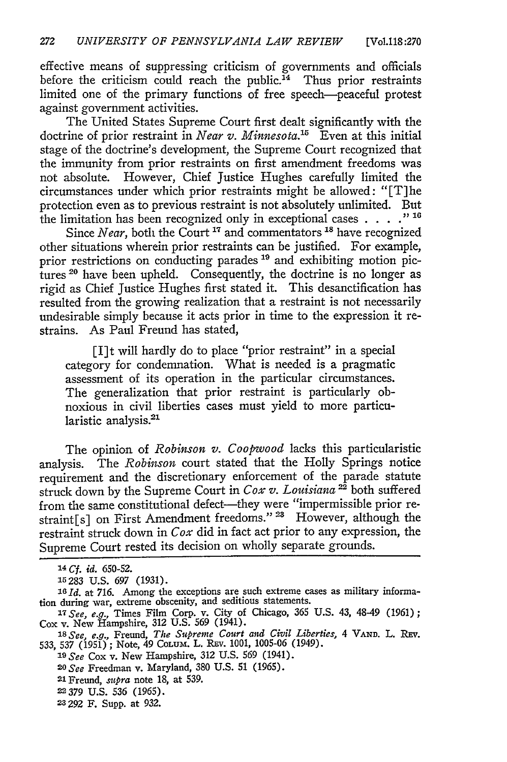effective means of suppressing criticism of governments and officials before the criticism could reach the public.<sup> $14$ </sup> Thus prior restraints limited one of the primary functions of free speech-peaceful protest against government activities.

The United States Supreme Court first dealt significantly with the doctrine of prior restraint in *Near v. Minnesota*.<sup>15</sup> Even at this initial stage of the doctrine's development, the Supreme Court recognized that the immunity from prior restraints on first amendment freedoms was not absolute. However, Chief Justice Hughes carefully limited the circumstances under which prior restraints might be allowed: "[T]he protection even as to previous restraint is not absolutely unlimited. But **3) 16** the limitation has been recognized only in exceptional cases **....**

Since *Near,* both the Court **17** and commentators **18** have recognized other situations wherein prior restraints can be justified. For example, prior restrictions on conducting parades **'9** and exhibiting motion pictures <sup>20</sup> have been upheld. Consequently, the doctrine is no longer as rigid as Chief Justice Hughes first stated it. This desanctification has resulted from the growing realization that a restraint is not necessarily undesirable simply because it acts prior in time to the expression it restrains. As Paul Freund has stated,

[I]t will hardly do to place "prior restraint" in a special category for condemnation. What is needed is a pragmatic assessment of its operation in the particular circumstances. The generalization that prior restraint is particularly obnoxious in civil liberties cases must yield to more particularistic analysis.<sup>21</sup>

The opinion of *Robinson v. Coopwood* lacks this particularistic analysis. The *Robinson* court stated that the Holly Springs notice requirement and the discretionary enforcement of the parade statute struck down **by** the Supreme Court in Cox *v. Louisiana 22* both suffered from the same constitutional defect-they were "impermissible prior restraint[s] on First Amendment freedoms."<sup>23</sup> However, although the restraint struck down in Cox did in fact act prior to any expression, the Supreme Court rested its decision on wholly separate grounds.

*1 <sup>8</sup> See, e.g.,* Freund, *The Supreme Court and Civil Liberties,* 4 **VAND.** L. REv. 533, 537 (1951) ; Note, 49 CoLum. L. REv. 1001, 1005-06 (1949).

- **1 <sup>9</sup>***See* Cox v. New Hampshire, 312 U.S. 569 (1941).
- *20 See* Freedman v. Maryland, 380 U.S. 51 (1965).
- **<sup>21</sup>**Freund, *atpra* note 18, at 539.

**23292** F. Supp. at **932.**

**<sup>14</sup>** *Cf. id.* **650-52.**

**<sup>15283</sup>** U.S. *697* (1931).

*<sup>16</sup>Id.* at 716. Among the exceptions are such extreme cases as military information during war, extreme obscenity, and seditious statements.

**<sup>1</sup>T** *See, e.g.,* Times Film Corp. v. City of Chicago, 365 U.S. 43, 48-49 (1961); Cox v. New Hampshire, **312** U.S. 569 (1941).

<sup>2379</sup> U.S. 536 (1965).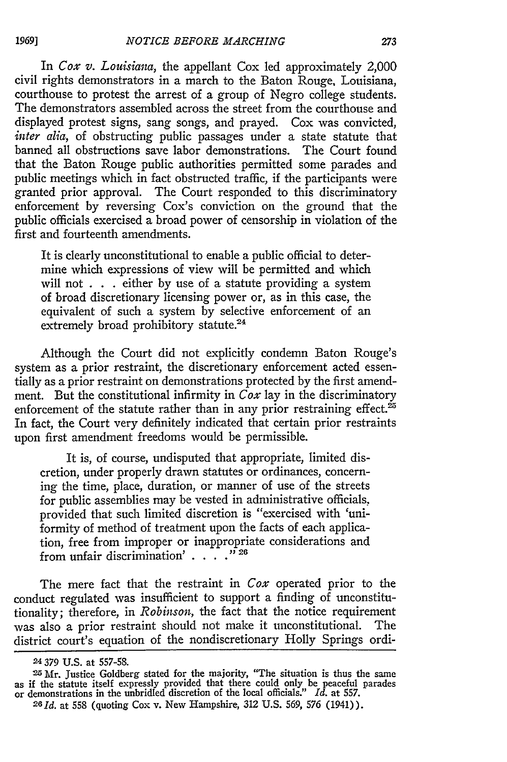In Cox *v. Louisiana,* the appellant Cox led approximately 2,000 civil rights demonstrators in a march to the Baton Rouge, Louisiana, courthouse to protest the arrest of a group of Negro college students. The demonstrators assembled across the street from the courthouse and displayed protest signs, sang songs, and prayed. Cox was convicted, inter *alia,* of obstructing public passages under a state statute that banned all obstructions save labor demonstrations. The Court found that the Baton Rouge public authorities permitted some parades and public meetings which in fact obstructed traffic, if the participants were granted prior approval. The Court responded to this discriminatory enforcement **by** reversing Cox's conviction on the ground that the public officials exercised a broad power of censorship in violation of the first and fourteenth amendments.

It is clearly unconstitutional to enable a public official to determine which expressions of view will be permitted and which will not **. . .** either **by** use of a statute providing a system of broad discretionary licensing power or, as in this case, the equivalent of such a system **by** selective enforcement of an extremely broad prohibitory statute.<sup>24</sup>

Although the Court did not explicitly condemn Baton Rouge's system as a prior restraint, the discretionary enforcement acted essentially as a prior restraint on demonstrations protected **by** the first amendment. But the constitutional infirmity in  $\cos$  lay in the discriminatory enforcement of the statute rather than in any prior restraining effect. $25$ In fact, the Court very definitely indicated that certain prior restraints upon first amendment freedoms would be permissible.

It is, of course, undisputed that appropriate, limited discretion, under properly drawn statutes or ordinances, concerning the time, place, duration, or manner of use of the streets for public assemblies may be vested in administrative officials. provided that such limited discretion is "exercised with 'uniformity of method of treatment upon the facts of each application, free from improper or inappropriate considerations and from unfair discrimination' **...**<sup>1</sup>,<sup>28</sup>

The mere fact that the restraint in Cox operated prior to the conduct regulated was insufficient to support a finding of unconstitutionality; therefore, in *Robinson,* the fact that the notice requirement was also a prior restraint should not make it unconstitutional. The district court's equation of the nondiscretionary Holly Springs ordi-

*19691*

**<sup>24 379</sup> U.S.** at **557-58.**

**<sup>25</sup>**Mr. Justice Goldberg stated for the majority, "The situation is thus the same as if the statute itself expressly provided that there could only be peaceful parades<br>or demonstrations in the unbridled discretion of the local officials." Id. at 557.<br> $26$  Id. at 558 (quoting Cox v. New Hampshire, 312 U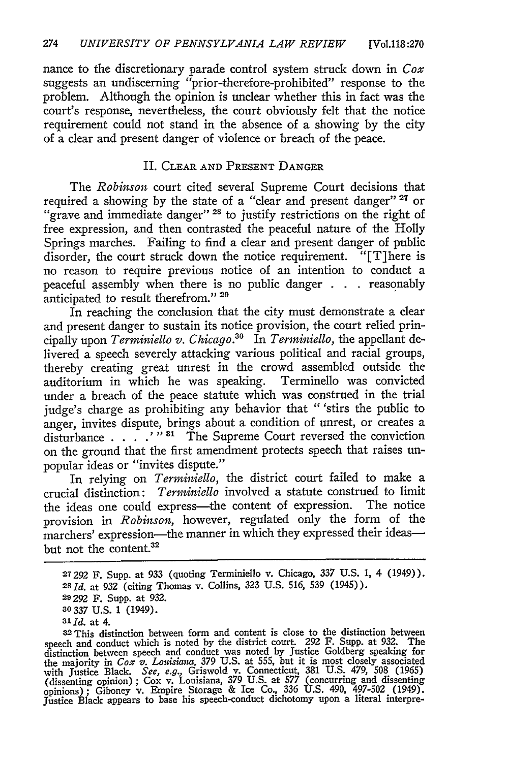nance to the discretionary parade control system struck down in *Cox* suggests an undiscerning "prior-therefore-prohibited" response to the problem. Although the opinion is unclear whether this in fact was the court's response, nevertheless, the court obviously felt that the notice requirement could not stand in the absence of a showing by the city of a clear and present danger of violence or breach of the peace.

## II. CLEAR AND PRESENT DANGER

The *Robinson* court cited several Supreme Court decisions that required a showing by the state of a "clear and present danger" **27** or "grave and immediate danger" **28** to justify restrictions on the right of free expression, and then contrasted the peaceful nature of the Holly Springs marches. Failing to find a clear and present danger of public disorder, the court struck down the notice requirement. "[T]here is no reason to require previous notice of an intention to conduct a peaceful assembly when there is no public danger . **. .** reasonably anticipated to result therefrom." **<sup>29</sup>**

In reaching the conclusion that the city must demonstrate a clear and present danger to sustain its notice provision, the court relied principally upon *Terminiello v. Chicago.3* In *Terminello,* the appellant delivered a speech severely attacking various political and racial groups, thereby creating great unrest in the crowd assembled outside the auditorium in which he was speaking. Terminello was convicted under a breach of the peace statute which was construed in the trial judge's charge as prohibiting any behavior that " 'stirs the public to anger, invites dispute, brings about a condition of unrest, or creates a disturbance . . . . . <sup>"</sup> <sup>31</sup> The Supreme Court reversed the conviction on the ground that the first amendment protects speech that raises unpopular ideas or "invites dispute."

In relying on *Terminiello,* the district court failed to make a crucial distinction: *Terminiello* involved a statute construed to limit the ideas one could express-the content of expression. The notice provision in *Robinson,* however, regulated only the form of the marchers' expression-the manner in which they expressed their ideasbut not the content.<sup>32</sup>

**<sup>31</sup>***Id.* at 4.

**<sup>27292</sup>** F. Supp. at 933 (quoting Terminiello v. Chicago, *337* U.S. **1,** 4 (1949)). *28Id.* at 932 (citing Thomas v. Collins, 323 U.S. 516, 539 (1945)).

**<sup>29</sup>**292 F. Supp. at 932.

**<sup>30 337</sup>** U.S. 1 (1949).

<sup>-2</sup> This distinction between form and content is close to the distinction between speech and conduct which is noted by the district court. 292 F. Supp. at 932. The distinction between speech and conduct was noted by Justice Goldberg speaking for the majority in Cox v. Louisiana, 379 U.S. at 555, but it is most closely associated with Justice Black. See, e.g., Griswold v. Connecticut, (dissenting opinion) ; Cox v. Louisiana, 379 U.S. at *577* (concurring and dissenting opinions) ; Giboney v. Empire Storage & Ice Co., 336 U.S. 490, 497-502 (1949). Justice Black appears to base his speech-conduct dichotomy upon a literal interpre-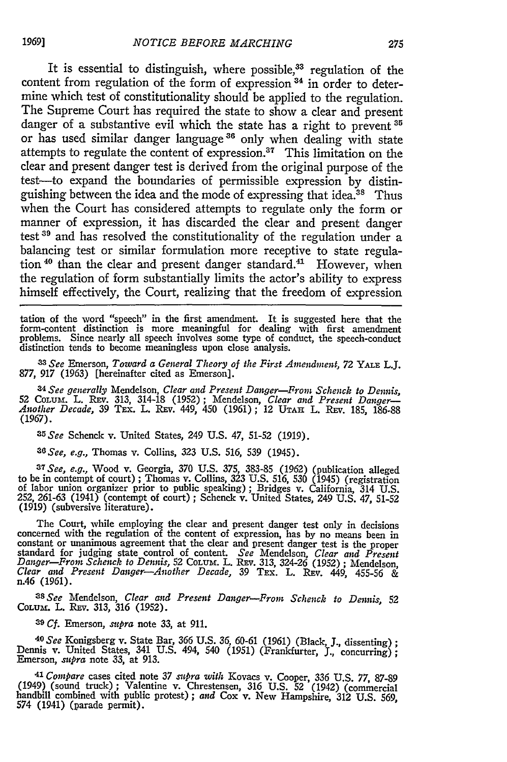It is essential to distinguish, where possible,<sup>33</sup> regulation of the content from regulation of the form of expression  $34$  in order to determine which test of constitutionality should be applied to the regulation. The Supreme Court has required the state to show a clear and present danger of a substantive evil which the state has a right to prevent **35** or has used similar danger language<sup>36</sup> only when dealing with state attempts to regulate the content of expression. $37$  This limitation on the clear and present danger test is derived from the original purpose of the test-to expand the boundaries of permissible expression by distinguishing between the idea and the mode of expressing that idea.<sup>38</sup> Thus when the Court has considered attempts to regulate only the form or manner of expression, it has discarded the clear and present danger test<sup>39</sup> and has resolved the constitutionality of the regulation under a balancing test or similar formulation more receptive to state regulation <sup>40</sup> than the clear and present danger standard.<sup>41</sup> However, when the regulation of form substantially limits the actor's ability to express himself effectively, the Court, realizing that the freedom of expression

tation of the word "speech" in the first amendment. It is suggested here that the form-content distinction is more meaningful for dealing with first amendment problems. Since nearly all speech involves some type of conduct, the speech-conduct distinction tends to become meaningless upon close analysis.

**3-3** *See* Emerson, *Toward a General Theory of the First Amendment, 72* YALE L.J. **877, 917** (1963) [hereinafter cited as Emerson].

<sup>34</sup> See generally Mendelson, Clear and Present Danger—From Schenck to Dennis,<br>52 COLUM. L. REV. 313, 314-18 (1952); Mendelson, Clear and Present Danger—<br>Another Decade, 39 TEX. L. REV. 449, 450 (1961); 12 UTAH L. REV. 185 (1967).

*35 See* Schenck v. United States, 249 U.S. 47, 51-52 (1919).

*<sup>3</sup> 6See, e.g.,* Thomas v. Collins, **323** U.S. 516, 539 (1945).

*<sup>37</sup> See, e.g.,* Wood v. Georgia, 370 U.S. 375, 383-85 (1962) (publication alleged to be in contempt of court) ; Thomas v. Collins, **323** U.S. 516, 530 (1945) (registration of labor union organizer prior to public speaking) **;** Bridges v. California, 314 U.S. 252, 261-63 (1941) (contempt of court) ; Schenck v. United States, 249 U.S. 47, 51-52 (1919) (subversive literature).

The Court, while employing the clear and present danger test only in decisions concerned with the regulation of the content of expression, has by no means been in constant or unanimous agreement that the clear and present *Clear and Present Danger-Another Decade,* 39 Tax. L. REv. 449, 455-56 & nA6 (1961).

*<sup>3</sup> <sup>8</sup> See* Mendelson, *Clear and Present Danger-From Schenck to Dennis,* **<sup>52</sup>** COLUm. L. REv. 313, 316 (1952).

**39** *Cf.* Emerson, *supra* note 33, at 911.

*40 See* Konigsberg v. State Bar, **366** U.S. **36,** 60-61 (1961) (Black, **J.,** dissenting) **;** Dennis v. United States, 341 U.S. 494, 540 (1951) (Frankfurter, J., concurring); Emerson, *supra* note **33,** at 913.

*41 Compare* cases cited note *37 supra with* Kovacs v. Cooper, 336 U.S. 77, 87-89 (1949) (sound truck); Valentine v. Chrestensen, 316 U.S. 52 (1942) (commercial handbill combined with public protest); *and* Cox v. New Hampshire, 312 U.S. 569, 574 (1941) (parade permit).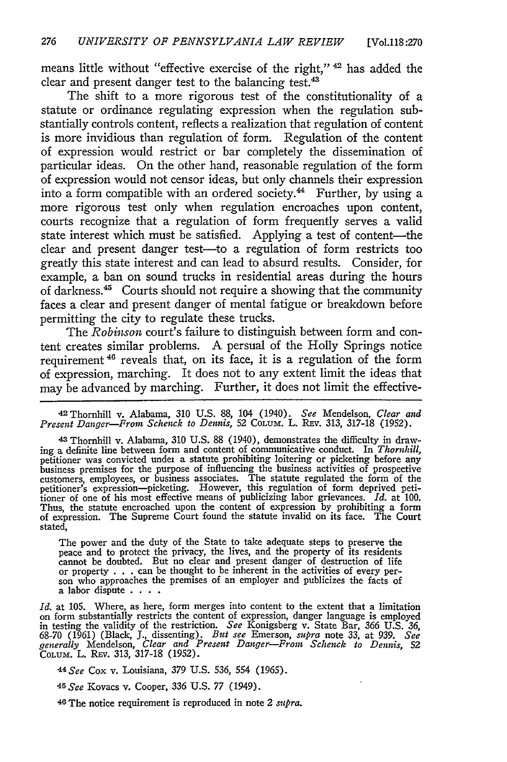means little without "effective exercise of the right,"  $42$  has added the clear and present danger test to the balancing test.<sup>43</sup>

The shift to a more rigorous test of the constitutionality of a statute or ordinance regulating expression when the regulation substantially controls content, reflects a realization that regulation of content is more invidious than regulation of form. Regulation of the content of expression would restrict or bar completely the dissemination of particular ideas. On the other hand, reasonable regulation of the form of expression would not censor ideas, but only channels their expression into a form compatible with an ordered society.<sup>44</sup> Further, by using a more rigorous test only when regulation encroaches upon content, courts recognize that a regulation of form frequently serves a valid state interest which must be satisfied. Applying a test of content-the clear and present danger test-to a regulation of form restricts too greatly this state interest and can lead to absurd results. Consider, for example, a ban on sound trucks in residential areas during the hours of darkness.<sup>45</sup> Courts should not require a showing that the community faces a clear and present danger of mental fatigue or breakdown before permitting the city to regulate these trucks.

The *Robinson* court's failure to distinguish between form and content creates similar problems. A persual of the Holly Springs notice requirement<sup>46</sup> reveals that, on its face, it is a regulation of the form of expression, marching. It does not to any extent limit the ideas that may be advanced by marching. Further, it does not limit the effective-

<sup>42</sup> Thornhill v. Alabama, 310 U.S. 88, 104 (1940). *See* Mendelson, *Clear and* Present Danger-From Schenck to Dennis, 52 COLUM. L. REV. 313, 317-18 (1952)

43 Thornhill v. Alabama, 310 U.S. 88 (1940), demonstrates the difficulty in drawing a definite line between form and content of communicative conduct. In *Thornhill,* petitioner was convicted undet a statute prohibiting loitering or picketing before any business premises for the purpose of influencing the business activities of prospective customers, employees, or business associates. The statute regulated the form of the petitioner's expression-picketing. However, this regulation of form deprived peti- tioner of one of his most effective means of publicizing labor grievances. *Id.* at 100. Thus, the statute encroached upon the content of expression by prohibiting a form of expression. The Supreme Court found the statute invalid on its face. The Court stated,

The power and the duty of the State to take adequate steps to preserve the peace and to protect the privacy, the lives, and the property of its residents cannot be doubted. But no clear and present danger of destruction of life or property . . . can be thought to be inherent in the activities of every person who approaches the premises of an employer and publicizes the fac a labor dispute . **...**

*Id.* at 105. Where, as here, form merges into content to the extent that a limitation on form substantially restricts the content of expression, danger language is employed in testing the validity of the restriction. *See* Konigsberg v. State Bar, 366 U.S. *36,* 68-70 (1961) (Black, J., dissenting). But see Emerson, supra note 33, at 939. See generally Mendelson, Clear and Present Danger-From Schenck to Dennis, 52 COLUM. L. REV. 313, 317-18 (1952).

*<sup>44</sup> See* Cox v. Louisiana, 379 U.S. 536, 554 (1965).

*45 See* Kovacs v. Cooper, 336 U.S. 77 (1949).

**46** The notice requirement is reproduced in note 2 *supra.*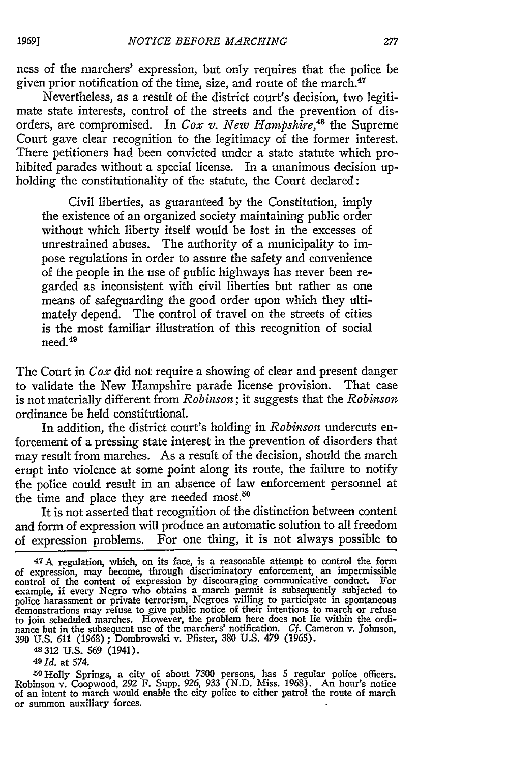ness of the marchers' expression, but only requires that the police be given prior notification of the time, size, and route of the march. $47$ 

Nevertheless, as a result of the district court's decision, two legitimate state interests, control of the streets and the prevention of disorders, are compromised. In *Cox v. New Hampshire,48* the Supreme Court gave clear recognition to the legitimacy of the former interest. There petitioners had been convicted under a state statute which prohibited parades without a special license. In a unanimous decision upholding the constitutionality of the statute, the Court declared:

Civil liberties, as guaranteed by the Constitution, imply the existence of an organized society maintaining public order without which liberty itself would be lost in the excesses of unrestrained abuses. The authority of a municipality to impose regulations in order to assure the safety and convenience of the people in the use of public highways has never been regarded as inconsistent with civil liberties but rather as one means of safeguarding the good order upon which they ultimately depend. The control of travel on the streets of cities is the most familiar illustration of this recognition of social need.<sup>49</sup>

The Court in *Cox* did not require a showing of clear and present danger to validate the New Hampshire parade license provision. That case is not materially different from *Robinson;* it suggests that the *Robinson* ordinance be held constitutional.

In addition, the district court's holding in *Robinson* undercuts enforcement of a pressing state interest in the prevention of disorders that may result from marches. As a result of the decision, should the march erupt into violence at some point along its route, the failure to notify the police could result in an absence of law enforcement personnel at the time and place they are needed most.<sup>50</sup>

It is not asserted that recognition of the distinction between content and form of expression will produce an automatic solution to all freedom of expression problems. For one thing, it is not always possible to

**48312 U.S.** 569 (1941).

*49 Id.* at 574.

**<sup>50</sup>**Holly Springs, a city of about **7300** persons, has **5** regular police officers. Robinson v. Coopwood, **292** F. Supp. 926, **933 (N.D.** Miss. **1968).** An hour's notice of an intent to march would enable the city police to either patrol the route of march or summon auxiliary forces.

<sup>47</sup> **A** regulation, which, on its face, is a reasonable attempt to control the form of expression, may become, through discriminatory enforcement, an impermissible control of the content of expression **by** discouraging communicative conduct. For example, if every Negro who obtains a march permit is subsequently subjected to police harassment or private terrorism, Negroes willing to participate in spontaneous demonstrations may refuse to give public notice of their intentions to march or refuse to join scheduled marches. However, the problem here does not lie within the ordi- nance but in the subsequent use of the marchers' notification. *Cf.* Cameron v. Johnson, **390** U.S. 611 (1968) ; Dombrowski v. Pfister, **380 U.S.** 479 **(1965).**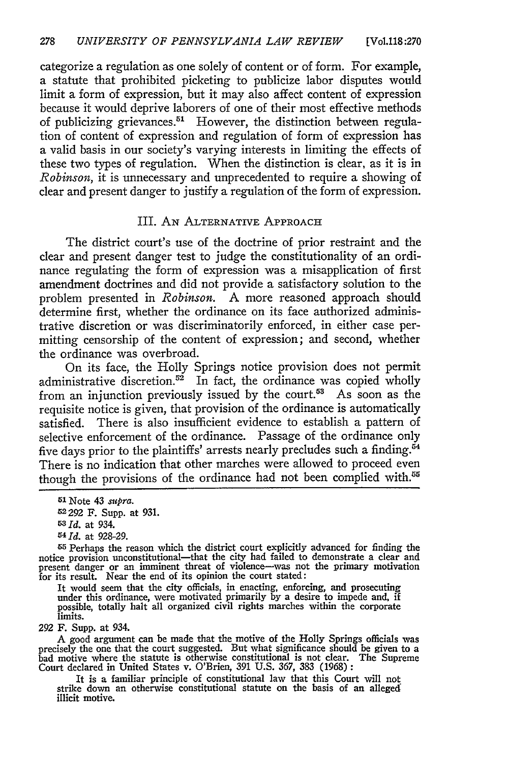categorize a regulation as one solely of content or of form. For example, a statute that prohibited picketing to publicize labor disputes would limit a form of expression, but it may also affect content of expression because it would deprive laborers of one of their most effective methods of publicizing grievances.<sup>51</sup> However, the distinction between regulation of content of expression and regulation of form of expression has a valid basis in our society's varying interests in limiting the effects of these two types of regulation. When the distinction is clear, as it is in *Robinson,* it is unnecessary and unprecedented to require a showing of clear and present danger to justify a regulation of the form of expression.

## III. AN ALTERNATIVE APPROACH

The district court's use of the doctrine of prior restraint and the clear and present danger test to judge the constitutionality of an ordinance regulating the form of expression was a misapplication of first amendment doctrines and did not provide a satisfactory solution to the problem presented in *Robinson.* A more reasoned approach should determine first, whether the ordinance on its face authorized administrative discretion or was discriminatorily enforced, in either case permitting censorship of the content of expression; and second, whether the ordinance was overbroad.

On its face, the Holly Springs notice provision does not permit administrative discretion.<sup>52</sup> In fact, the ordinance was copied wholly from an injunction previously issued by the court.<sup>53</sup> As soon as the requisite notice is given, that provision of the ordinance is automatically satisfied. There is also insufficient evidence to establish a pattern of selective enforcement of the ordinance. Passage of the ordinance only five days prior to the plaintiffs' arrests nearly precludes such a finding.<sup>54</sup> There is no indication that other marches were allowed to proceed even though the provisions of the ordinance had not been complied with.<sup>55</sup>

It would seem that the city officials, in enacting, enforcing, and prosecuting under this ordinance, were motivated primarily by a desire to impede and, if possible, totally halt all organized civil rights marches within the corporate limits.

292 F. Supp. at 934.

A good argument can be made that the motive of the Holly Springs officials was precisely the one that the court suggested. But what significance should be given to a bad motive where the statute is otherwise constitutional is not clear. The Supreme Court declared in United States v. O'Brien, 391 U.S. 367, 383 (1968) **:**

It is a familiar principle of constitutional law that this Court will not strike down an otherwise constitutional statute on the basis of an alleged illicit motive.

<sup>51</sup> Note 43 *supra.* **52 292** F. Supp. at 931. **<sup>53</sup>***Id,* at 934.

*<sup>54</sup> Id.* at 928-29.

**<sup>55</sup>**Perhaps the reason which the district court explicitly advanced for finding the notice provision unconstitutional-that the city had failed to demonstrate a clear and present danger or an imminent threat of violence-was not the primary motivation for its result. Near the end of its opinion the court stated